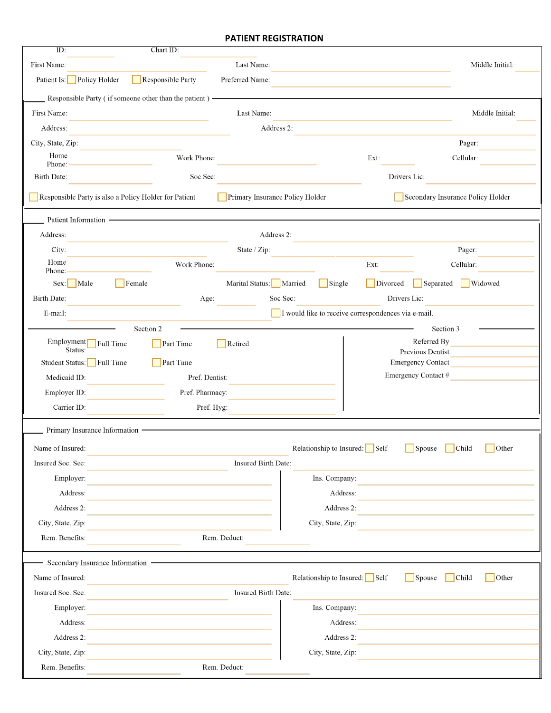#### **PATIENT REGISTRATION**

| ID:                             | Chart ID:                                                                                |                                                     |              |                                              |
|---------------------------------|------------------------------------------------------------------------------------------|-----------------------------------------------------|--------------|----------------------------------------------|
| First Name:                     | Last Name:                                                                               |                                                     |              | Middle Initial:                              |
| Patient Is: Policy Holder       | Responsible Party<br>Preferred Name:                                                     |                                                     |              |                                              |
|                                 | $\equiv$ Responsible Party (if someone other than the patient) $\equiv$                  |                                                     |              |                                              |
| First Name:                     | Last Name:                                                                               |                                                     |              | Middle Initial:                              |
| Address:                        |                                                                                          | Address 2:                                          |              |                                              |
| City, State, Zip:               |                                                                                          |                                                     |              | Pager:                                       |
| Home<br>Phone:                  | Work Phone:                                                                              |                                                     | Ext:         | Cellular:                                    |
| Birth Date:                     | Soc Sec:                                                                                 |                                                     | Drivers Lic: |                                              |
|                                 | Responsible Party is also a Policy Holder for Patient<br>Primary Insurance Policy Holder |                                                     |              | Secondary Insurance Policy Holder            |
| Patient Information -           |                                                                                          |                                                     |              |                                              |
| Address:                        |                                                                                          | Address 2:                                          |              |                                              |
| City:                           | State / Zip:                                                                             |                                                     |              | Pager:                                       |
| Home<br>Phone:                  | Work Phone:                                                                              |                                                     | Ext:         | Cellular:                                    |
| Sex: Male                       | Female<br>Marital Status: Married                                                        | $\Box$ Single                                       | Divorced     | Widowed<br>Separated                         |
| Birth Date:                     | Age:                                                                                     | Soc Sec:                                            | Drivers Lic: |                                              |
| E-mail:                         |                                                                                          | I would like to receive correspondences via e-mail. |              |                                              |
|                                 | Section 2                                                                                |                                                     |              | Section 3                                    |
| Employment<br>Status:           | Part Time<br>Retired<br>Full Time                                                        |                                                     |              | Referred By                                  |
| Student Status: Full Time       | Part Time                                                                                |                                                     |              | Previous Dentist<br><b>Emergency Contact</b> |
| Medicaid ID:                    | Pref. Dentist:                                                                           |                                                     |              | Emergency Contact #                          |
| Employer ID:                    | Pref. Pharmacy:                                                                          |                                                     |              |                                              |
| Carrier ID:                     | Pref. Hyg:                                                                               |                                                     |              |                                              |
| Primary Insurance Information - |                                                                                          |                                                     |              |                                              |
| Name of Insured:                |                                                                                          | Relationship to Insured:                            | Self         | Child<br>Other<br>Spouse                     |
| Insured Soc. Sec:               | Insured Birth Date:                                                                      |                                                     |              |                                              |
| Employer:                       |                                                                                          | Ins. Company:                                       |              |                                              |
| Address:                        |                                                                                          | Address:                                            |              |                                              |
| Address 2:                      |                                                                                          | Address 2:                                          |              |                                              |
| City, State, Zip:               |                                                                                          | City, State, Zip:                                   |              |                                              |
| Rem. Benefits:                  | Rem. Deduct:                                                                             |                                                     |              |                                              |
| Secondary Insurance Information |                                                                                          |                                                     |              |                                              |
| Name of Insured:                |                                                                                          | Relationship to Insured: $\Box$ Self                |              | Child<br>Other<br>Spouse                     |
| Insured Soc. Sec:               | Insured Birth Date:                                                                      |                                                     |              |                                              |
| Employer:                       |                                                                                          | Ins. Company:                                       |              |                                              |
| Address:                        |                                                                                          | Address:                                            |              |                                              |
| Address 2:                      |                                                                                          | Address 2:                                          |              |                                              |
| City, State, Zip:               |                                                                                          | City, State, Zip:                                   |              |                                              |
| Rem. Benefits:                  | Rem. Deduct:                                                                             |                                                     |              |                                              |
|                                 |                                                                                          |                                                     |              |                                              |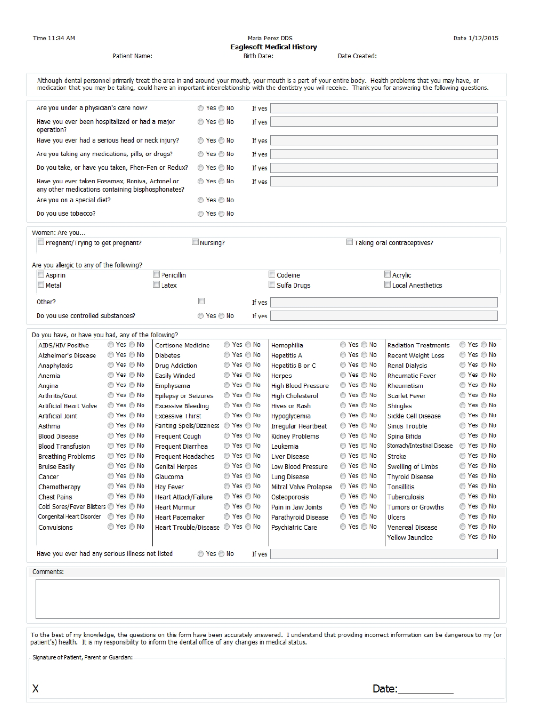## Maria Perez DDS **Englaceft Medical Hictory**

Date:\_\_\_\_\_\_\_\_\_\_\_

|                                                                                                                                                                                                                                                                                                                                                                                                                         | Patient Name:                                                                                                                                                                                                                                            |                                                                                                                                                                                                                                                                                                                                                                                                                                                                                     |                 |                                                                                                                                                                                                                                                        | Birth Date: | Eaglesoft Medical History                                                                                                                                                                                                                                                                                                                                                                            | Date Created:                                                                                                                                                                                                                                                          |                                                                                                                                                                                                                                                                                                                                                                                                                                                      |                                                                                                                                                                                                                                                                                      |
|-------------------------------------------------------------------------------------------------------------------------------------------------------------------------------------------------------------------------------------------------------------------------------------------------------------------------------------------------------------------------------------------------------------------------|----------------------------------------------------------------------------------------------------------------------------------------------------------------------------------------------------------------------------------------------------------|-------------------------------------------------------------------------------------------------------------------------------------------------------------------------------------------------------------------------------------------------------------------------------------------------------------------------------------------------------------------------------------------------------------------------------------------------------------------------------------|-----------------|--------------------------------------------------------------------------------------------------------------------------------------------------------------------------------------------------------------------------------------------------------|-------------|------------------------------------------------------------------------------------------------------------------------------------------------------------------------------------------------------------------------------------------------------------------------------------------------------------------------------------------------------------------------------------------------------|------------------------------------------------------------------------------------------------------------------------------------------------------------------------------------------------------------------------------------------------------------------------|------------------------------------------------------------------------------------------------------------------------------------------------------------------------------------------------------------------------------------------------------------------------------------------------------------------------------------------------------------------------------------------------------------------------------------------------------|--------------------------------------------------------------------------------------------------------------------------------------------------------------------------------------------------------------------------------------------------------------------------------------|
|                                                                                                                                                                                                                                                                                                                                                                                                                         |                                                                                                                                                                                                                                                          |                                                                                                                                                                                                                                                                                                                                                                                                                                                                                     |                 |                                                                                                                                                                                                                                                        |             |                                                                                                                                                                                                                                                                                                                                                                                                      |                                                                                                                                                                                                                                                                        | Although dental personnel primarily treat the area in and around your mouth, your mouth is a part of your entire body. Health problems that you may have, or<br>medication that you may be taking, could have an important interrelationship with the dentistry you will receive. Thank you for answering the following questions.                                                                                                                   |                                                                                                                                                                                                                                                                                      |
| Are you under a physician's care now?                                                                                                                                                                                                                                                                                                                                                                                   |                                                                                                                                                                                                                                                          |                                                                                                                                                                                                                                                                                                                                                                                                                                                                                     | ◯ Yes ◯ No      |                                                                                                                                                                                                                                                        | If yes      |                                                                                                                                                                                                                                                                                                                                                                                                      |                                                                                                                                                                                                                                                                        |                                                                                                                                                                                                                                                                                                                                                                                                                                                      |                                                                                                                                                                                                                                                                                      |
| Have you ever been hospitalized or had a major<br>operation?                                                                                                                                                                                                                                                                                                                                                            |                                                                                                                                                                                                                                                          |                                                                                                                                                                                                                                                                                                                                                                                                                                                                                     | ◎ Yes ◎ No      |                                                                                                                                                                                                                                                        | If yes      |                                                                                                                                                                                                                                                                                                                                                                                                      |                                                                                                                                                                                                                                                                        |                                                                                                                                                                                                                                                                                                                                                                                                                                                      |                                                                                                                                                                                                                                                                                      |
| Have you ever had a serious head or neck injury?                                                                                                                                                                                                                                                                                                                                                                        |                                                                                                                                                                                                                                                          | ◎ Yes ◎ No                                                                                                                                                                                                                                                                                                                                                                                                                                                                          |                 | If yes                                                                                                                                                                                                                                                 |             |                                                                                                                                                                                                                                                                                                                                                                                                      |                                                                                                                                                                                                                                                                        |                                                                                                                                                                                                                                                                                                                                                                                                                                                      |                                                                                                                                                                                                                                                                                      |
| Are you taking any medications, pills, or drugs?                                                                                                                                                                                                                                                                                                                                                                        |                                                                                                                                                                                                                                                          |                                                                                                                                                                                                                                                                                                                                                                                                                                                                                     | ◯ Yes ◯ No      |                                                                                                                                                                                                                                                        | If yes      |                                                                                                                                                                                                                                                                                                                                                                                                      |                                                                                                                                                                                                                                                                        |                                                                                                                                                                                                                                                                                                                                                                                                                                                      |                                                                                                                                                                                                                                                                                      |
| Do you take, or have you taken, Phen-Fen or Redux?                                                                                                                                                                                                                                                                                                                                                                      |                                                                                                                                                                                                                                                          |                                                                                                                                                                                                                                                                                                                                                                                                                                                                                     | ◯ Yes ◯ No      |                                                                                                                                                                                                                                                        | If yes      |                                                                                                                                                                                                                                                                                                                                                                                                      |                                                                                                                                                                                                                                                                        |                                                                                                                                                                                                                                                                                                                                                                                                                                                      |                                                                                                                                                                                                                                                                                      |
| Have you ever taken Fosamax, Boniva, Actonel or<br>any other medications containing bisphosphonates?                                                                                                                                                                                                                                                                                                                    |                                                                                                                                                                                                                                                          |                                                                                                                                                                                                                                                                                                                                                                                                                                                                                     | ◯ Yes ◯ No      |                                                                                                                                                                                                                                                        | If yes      |                                                                                                                                                                                                                                                                                                                                                                                                      |                                                                                                                                                                                                                                                                        |                                                                                                                                                                                                                                                                                                                                                                                                                                                      |                                                                                                                                                                                                                                                                                      |
| Are you on a special diet?                                                                                                                                                                                                                                                                                                                                                                                              |                                                                                                                                                                                                                                                          |                                                                                                                                                                                                                                                                                                                                                                                                                                                                                     | ◎ Yes ◎ No      |                                                                                                                                                                                                                                                        |             |                                                                                                                                                                                                                                                                                                                                                                                                      |                                                                                                                                                                                                                                                                        |                                                                                                                                                                                                                                                                                                                                                                                                                                                      |                                                                                                                                                                                                                                                                                      |
| Do you use tobacco?                                                                                                                                                                                                                                                                                                                                                                                                     |                                                                                                                                                                                                                                                          |                                                                                                                                                                                                                                                                                                                                                                                                                                                                                     | ◎ Yes ◎ No      |                                                                                                                                                                                                                                                        |             |                                                                                                                                                                                                                                                                                                                                                                                                      |                                                                                                                                                                                                                                                                        |                                                                                                                                                                                                                                                                                                                                                                                                                                                      |                                                                                                                                                                                                                                                                                      |
| Women: Are you<br>Pregnant/Trying to get pregnant?                                                                                                                                                                                                                                                                                                                                                                      |                                                                                                                                                                                                                                                          |                                                                                                                                                                                                                                                                                                                                                                                                                                                                                     | $\Box$ Nursing? |                                                                                                                                                                                                                                                        |             |                                                                                                                                                                                                                                                                                                                                                                                                      |                                                                                                                                                                                                                                                                        | Taking oral contraceptives?                                                                                                                                                                                                                                                                                                                                                                                                                          |                                                                                                                                                                                                                                                                                      |
| Are you allergic to any of the following?<br>$\Box$ Aspirin                                                                                                                                                                                                                                                                                                                                                             |                                                                                                                                                                                                                                                          | $\Box$ Penicillin                                                                                                                                                                                                                                                                                                                                                                                                                                                                   |                 |                                                                                                                                                                                                                                                        |             | П<br>Codeine                                                                                                                                                                                                                                                                                                                                                                                         |                                                                                                                                                                                                                                                                        | Acrylic                                                                                                                                                                                                                                                                                                                                                                                                                                              |                                                                                                                                                                                                                                                                                      |
| $\Box$ Metal                                                                                                                                                                                                                                                                                                                                                                                                            |                                                                                                                                                                                                                                                          | Latex                                                                                                                                                                                                                                                                                                                                                                                                                                                                               |                 |                                                                                                                                                                                                                                                        |             | Sulfa Drugs                                                                                                                                                                                                                                                                                                                                                                                          |                                                                                                                                                                                                                                                                        | Local Anesthetics                                                                                                                                                                                                                                                                                                                                                                                                                                    |                                                                                                                                                                                                                                                                                      |
| Other?                                                                                                                                                                                                                                                                                                                                                                                                                  |                                                                                                                                                                                                                                                          |                                                                                                                                                                                                                                                                                                                                                                                                                                                                                     |                 |                                                                                                                                                                                                                                                        | If yes      |                                                                                                                                                                                                                                                                                                                                                                                                      |                                                                                                                                                                                                                                                                        |                                                                                                                                                                                                                                                                                                                                                                                                                                                      |                                                                                                                                                                                                                                                                                      |
| Do you use controlled substances?                                                                                                                                                                                                                                                                                                                                                                                       |                                                                                                                                                                                                                                                          |                                                                                                                                                                                                                                                                                                                                                                                                                                                                                     | ◯ Yes ◯ No      |                                                                                                                                                                                                                                                        | If yes      |                                                                                                                                                                                                                                                                                                                                                                                                      |                                                                                                                                                                                                                                                                        |                                                                                                                                                                                                                                                                                                                                                                                                                                                      |                                                                                                                                                                                                                                                                                      |
| Do you have, or have you had, any of the following?                                                                                                                                                                                                                                                                                                                                                                     |                                                                                                                                                                                                                                                          |                                                                                                                                                                                                                                                                                                                                                                                                                                                                                     |                 |                                                                                                                                                                                                                                                        |             |                                                                                                                                                                                                                                                                                                                                                                                                      |                                                                                                                                                                                                                                                                        |                                                                                                                                                                                                                                                                                                                                                                                                                                                      |                                                                                                                                                                                                                                                                                      |
| <b>AIDS/HIV Positive</b><br>Alzheimer's Disease<br>Anaphylaxis<br>Anemia<br>Angina<br>Arthritis/Gout<br><b>Artificial Heart Valve</b><br><b>Artificial Joint</b><br>Asthma<br><b>Blood Disease</b><br><b>Blood Transfusion</b><br><b>Breathing Problems</b><br><b>Bruise Easily</b><br>Cancer<br>Chemotherapy<br><b>Chest Pains</b><br>Cold Sores/Fever Blisters C Yes C No<br>Congenital Heart Disorder<br>Convulsions | ◎ Yes ◎ No<br>◯ Yes ◯ No<br>© Yes ⊙ No<br>◎ Yes ◎ No<br>◎ Yes ◎ No<br>© Yes © No<br>◎ Yes ◎ No<br>◎ Yes ◎ No<br>© Yes © No<br>◎ Yes ◎ No<br>© Yes © No<br>◯ Yes ◯ No<br>© Yes © No<br>© Yes ◎ No<br>© Yes ◎ No<br>© Yes ⊙ No<br>◯ Yes ◯ No<br>© Yes ◎ No | Cortisone Medicine<br><b>Diabetes</b><br><b>Drug Addiction</b><br><b>Easily Winded</b><br>Emphysema<br><b>Epilepsy or Seizures</b><br>Excessive Bleeding<br><b>Excessive Thirst</b><br>Fainting Spells/Dizziness C Yes C No<br><b>Frequent Cough</b><br>Frequent Diarrhea<br><b>Frequent Headaches</b><br><b>Genital Herpes</b><br>Glaucoma<br><b>Hay Fever</b><br><b>Heart Attack/Failure</b><br><b>Heart Murmur</b><br><b>Heart Pacemaker</b><br>Heart Trouble/Disease C Yes C No |                 | ◯ Yes ◯ No<br>◯ Yes ◯ No<br>$\circ$ Yes $\circ$ No<br>◯ Yes ◯ No<br>◯ Yes ◯ No<br>◯ Yes ◯ No<br>◯ Yes ◯ No<br>◯ Yes ◯ No<br>◯ Yes ◯ No<br>◯ Yes ◯ No<br>◯ Yes ◯ No<br>◯ Yes ◯ No<br>◯ Yes ◯ No<br>◯ Yes ◯ No<br>◯ Yes ◯ No<br>◯ Yes ◯ No<br>◯ Yes ◯ No |             | Hemophilia<br><b>Hepatitis A</b><br>Hepatitis B or C<br>Herpes<br>High Blood Pressure<br><b>High Cholesterol</b><br><b>Hives or Rash</b><br>Hypoglycemia<br>Irregular Heartbeat<br><b>Kidney Problems</b><br>Leukemia<br><b>Liver Disease</b><br>Low Blood Pressure<br><b>Lung Disease</b><br>Mitral Valve Prolapse<br>Osteoporosis<br>Pain in Jaw Joints<br>Parathyroid Disease<br>Psychiatric Care | ◎ Yes ◎ No<br>◎ Yes ◎ No<br>◯ Yes ◯ No<br>◎ Yes ◎ No<br>◎ Yes ◎ No<br>◎ Yes ◎ No<br>◎ Yes ◎ No<br>◎ Yes ◎ No<br>◎ Yes ◎ No<br>◎ Yes ◎ No<br>◎ Yes ◎ No<br>◎ Yes ◎ No<br>◎ Yes ◎ No<br>◎ Yes ◎ No<br>◯ Yes ◯ No<br>© Yes ⊚ No<br>© Yes ⊚ No<br>◎ Yes ◎ No<br>◎ Yes ◎ No | <b>Radiation Treatments</b><br><b>Recent Weight Loss</b><br><b>Renal Dialysis</b><br><b>Rheumatic Fever</b><br>Rheumatism<br><b>Scarlet Fever</b><br>Shingles<br>Sickle Cell Disease<br><b>Sinus Trouble</b><br>Spina Bifida<br>Stomach/Intestinal Disease<br>Stroke<br>Swelling of Limbs<br><b>Thyroid Disease</b><br><b>Tonsillitis</b><br><b>Tuberculosis</b><br><b>Tumors or Growths</b><br>Ulcers<br><b>Venereal Disease</b><br>Yellow Jaundice | ◎ Yes ◎ No<br>◎ Yes ◎ No<br>◎ Yes ◎ No<br>◎ Yes ◎ No<br>◎ Yes ◎ No<br>◎ Yes ◎ No<br>◎ Yes ◎ No<br>◎ Yes ◎ No<br>◎ Yes ◎ No<br>◯ Yes ◯ No<br>◯ Yes ◯ No<br>© Yes ⊙ No<br>◎ Yes ◎ No<br>◯ Yes ◯ No<br>© Yes ⊚ No<br>◎ Yes ◎ No<br>◎ Yes ◎ No<br>◎ Yes ◎ No<br>© Yes ⊚ No<br>◎ Yes ◎ No |
| Have you ever had any serious illness not listed<br>Comments:<br>patient's) health. It is my responsibility to inform the dental office of any changes in medical status.                                                                                                                                                                                                                                               |                                                                                                                                                                                                                                                          |                                                                                                                                                                                                                                                                                                                                                                                                                                                                                     | ◎ Yes ◎ No      |                                                                                                                                                                                                                                                        | If yes      |                                                                                                                                                                                                                                                                                                                                                                                                      |                                                                                                                                                                                                                                                                        | To the best of my knowledge, the questions on this form have been accurately answered. I understand that providing incorrect information can be dangerous to my (or                                                                                                                                                                                                                                                                                  |                                                                                                                                                                                                                                                                                      |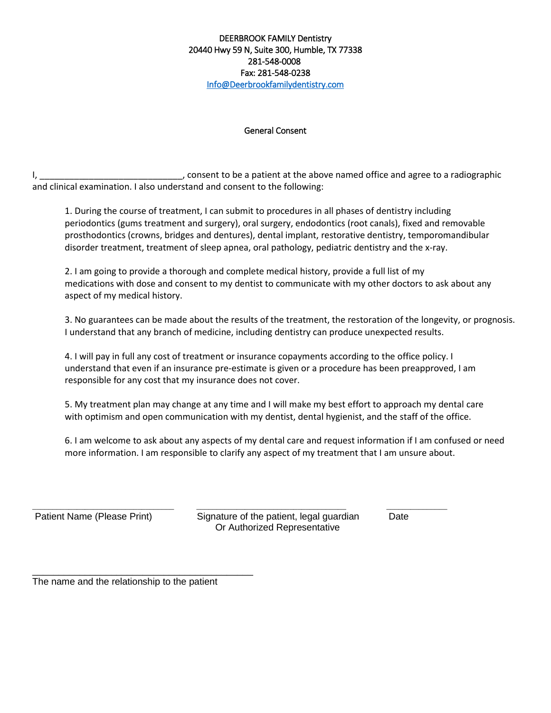#### DEERBROOK FAMILY Dentistry 20440 Hwy 59 N, Suite 300, Humble, TX 77338 281-548-0008 Fax: 281-548-0238 [Info@Deerbrookfamilydentistry.com](mailto:Info@Deerbrookfamilydentistry.com)

#### General Consent

I, \_\_\_\_\_\_\_\_\_\_\_\_\_\_\_\_\_\_\_\_\_\_\_\_\_\_\_\_\_\_\_\_\_\_, consent to be a patient at the above named office and agree to a radiographic and clinical examination. I also understand and consent to the following:

1. During the course of treatment, I can submit to procedures in all phases of dentistry including periodontics (gums treatment and surgery), oral surgery, endodontics (root canals), fixed and removable prosthodontics (crowns, bridges and dentures), dental implant, restorative dentistry, temporomandibular disorder treatment, treatment of sleep apnea, oral pathology, pediatric dentistry and the x-ray.

2. I am going to provide a thorough and complete medical history, provide a full list of my medications with dose and consent to my dentist to communicate with my other doctors to ask about any aspect of my medical history.

3. No guarantees can be made about the results of the treatment, the restoration of the longevity, or prognosis. I understand that any branch of medicine, including dentistry can produce unexpected results.

4. I will pay in full any cost of treatment or insurance copayments according to the office policy. I understand that even if an insurance pre-estimate is given or a procedure has been preapproved, I am responsible for any cost that my insurance does not cover.

5. My treatment plan may change at any time and I will make my best effort to approach my dental care with optimism and open communication with my dentist, dental hygienist, and the staff of the office.

6. I am welcome to ask about any aspects of my dental care and request information if I am confused or need more information. I am responsible to clarify any aspect of my treatment that I am unsure about.

\_\_\_\_\_\_\_\_\_\_\_\_\_\_\_\_\_\_\_\_\_\_\_\_\_\_\_\_\_\_\_\_\_\_\_ \_\_\_\_\_\_\_\_\_\_\_\_\_\_\_\_\_\_\_\_\_\_\_\_\_\_\_\_\_\_\_\_\_\_\_\_\_ \_\_\_\_\_\_\_\_\_\_\_\_\_\_\_ Patient Name (Please Print) Signature of the patient, legal guardian Date Or Authorized Representative

The name and the relationship to the patient

\_\_\_\_\_\_\_\_\_\_\_\_\_\_\_\_\_\_\_\_\_\_\_\_\_\_\_\_\_\_\_\_\_\_\_\_\_\_\_\_\_\_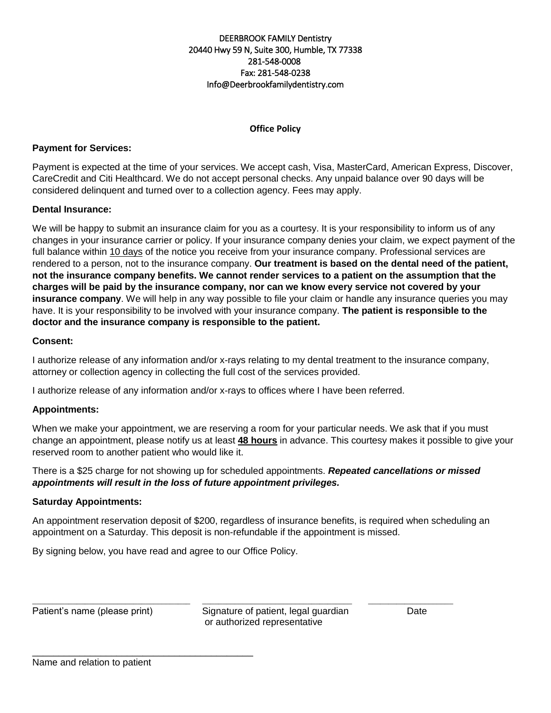#### DEERBROOK FAMILY Dentistry 20440 Hwy 59 N, Suite 300, Humble, TX 77338 281-548-0008 Fax: 281-548-0238 Info@Deerbrookfamilydentistry.com

## **Office Policy**

#### **Payment for Services:**

Payment is expected at the time of your services. We accept cash, Visa, MasterCard, American Express, Discover, CareCredit and Citi Healthcard. We do not accept personal checks. Any unpaid balance over 90 days will be considered delinquent and turned over to a collection agency. Fees may apply.

#### **Dental Insurance:**

We will be happy to submit an insurance claim for you as a courtesy. It is your responsibility to inform us of any changes in your insurance carrier or policy. If your insurance company denies your claim, we expect payment of the full balance within 10 days of the notice you receive from your insurance company. Professional services are rendered to a person, not to the insurance company. **Our treatment is based on the dental need of the patient, not the insurance company benefits. We cannot render services to a patient on the assumption that the charges will be paid by the insurance company, nor can we know every service not covered by your insurance company**. We will help in any way possible to file your claim or handle any insurance queries you may have. It is your responsibility to be involved with your insurance company. **The patient is responsible to the doctor and the insurance company is responsible to the patient.**

#### **Consent:**

I authorize release of any information and/or x-rays relating to my dental treatment to the insurance company, attorney or collection agency in collecting the full cost of the services provided.

I authorize release of any information and/or x-rays to offices where I have been referred.

#### **Appointments:**

When we make your appointment, we are reserving a room for your particular needs. We ask that if you must change an appointment, please notify us at least **48 hours** in advance. This courtesy makes it possible to give your reserved room to another patient who would like it.

There is a \$25 charge for not showing up for scheduled appointments. *Repeated cancellations or missed appointments will result in the loss of future appointment privileges.* 

#### **Saturday Appointments:**

An appointment reservation deposit of \$200, regardless of insurance benefits, is required when scheduling an appointment on a Saturday. This deposit is non-refundable if the appointment is missed.

By signing below, you have read and agree to our Office Policy.

\_\_\_\_\_\_\_\_\_\_\_\_\_\_\_\_\_\_\_\_\_\_\_\_\_\_\_\_\_\_\_\_\_\_\_\_\_\_\_\_\_\_

\_\_\_\_\_\_\_\_\_\_\_\_\_\_\_\_\_\_\_\_\_\_\_\_\_\_\_\_\_\_\_\_\_\_\_\_\_\_\_ \_\_\_\_\_\_\_\_\_\_\_\_\_\_\_\_\_\_\_\_\_\_\_\_\_\_\_\_\_\_\_\_\_\_\_\_\_ \_\_\_\_\_\_\_\_\_\_\_\_\_\_\_\_\_\_\_\_\_ Patient's name (please print) Signature of patient, legal guardian Date or authorized representative

Name and relation to patient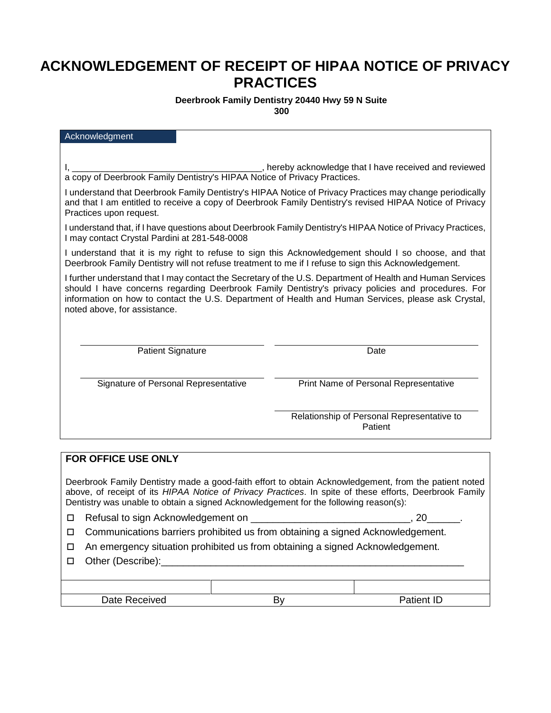# **ACKNOWLEDGEMENT OF RECEIPT OF HIPAA NOTICE OF PRIVACY PRACTICES**

# **Deerbrook Family Dentistry 20440 Hwy 59 N Suite**

**300** 

| Acknowledgment                                                                                                                                                                                                                                  |                                                                                                                                                                                                                                                                                                                        |  |  |  |  |
|-------------------------------------------------------------------------------------------------------------------------------------------------------------------------------------------------------------------------------------------------|------------------------------------------------------------------------------------------------------------------------------------------------------------------------------------------------------------------------------------------------------------------------------------------------------------------------|--|--|--|--|
|                                                                                                                                                                                                                                                 |                                                                                                                                                                                                                                                                                                                        |  |  |  |  |
| ________, hereby acknowledge that I have received and reviewed<br>a copy of Deerbrook Family Dentistry's HIPAA Notice of Privacy Practices.                                                                                                     |                                                                                                                                                                                                                                                                                                                        |  |  |  |  |
| I understand that Deerbrook Family Dentistry's HIPAA Notice of Privacy Practices may change periodically<br>and that I am entitled to receive a copy of Deerbrook Family Dentistry's revised HIPAA Notice of Privacy<br>Practices upon request. |                                                                                                                                                                                                                                                                                                                        |  |  |  |  |
| I understand that, if I have questions about Deerbrook Family Dentistry's HIPAA Notice of Privacy Practices,<br>I may contact Crystal Pardini at 281-548-0008                                                                                   |                                                                                                                                                                                                                                                                                                                        |  |  |  |  |
| I understand that it is my right to refuse to sign this Acknowledgement should I so choose, and that<br>Deerbrook Family Dentistry will not refuse treatment to me if I refuse to sign this Acknowledgement.                                    |                                                                                                                                                                                                                                                                                                                        |  |  |  |  |
| noted above, for assistance.                                                                                                                                                                                                                    | I further understand that I may contact the Secretary of the U.S. Department of Health and Human Services<br>should I have concerns regarding Deerbrook Family Dentistry's privacy policies and procedures. For<br>information on how to contact the U.S. Department of Health and Human Services, please ask Crystal, |  |  |  |  |
| <b>Patient Signature</b>                                                                                                                                                                                                                        | Date                                                                                                                                                                                                                                                                                                                   |  |  |  |  |
| Signature of Personal Representative                                                                                                                                                                                                            | Print Name of Personal Representative                                                                                                                                                                                                                                                                                  |  |  |  |  |
|                                                                                                                                                                                                                                                 | Relationship of Personal Representative to<br>Patient                                                                                                                                                                                                                                                                  |  |  |  |  |
| FOR OFFICE USE ONLY                                                                                                                                                                                                                             |                                                                                                                                                                                                                                                                                                                        |  |  |  |  |
|                                                                                                                                                                                                                                                 |                                                                                                                                                                                                                                                                                                                        |  |  |  |  |

Deerbrook Family Dentistry made a good-faith effort to obtain Acknowledgement, from the patient noted above, of receipt of its *HIPAA Notice of Privacy Practices*. In spite of these efforts, Deerbrook Family Dentistry was unable to obtain a signed Acknowledgement for the following reason(s):

□ Refusal to sign Acknowledgement on \_\_\_\_\_\_\_\_\_\_\_\_\_\_\_\_\_\_\_\_\_\_\_\_\_\_\_\_\_\_\_\_\_, 20\_\_\_

- □ Communications barriers prohibited us from obtaining a signed Acknowledgement.
- An emergency situation prohibited us from obtaining a signed Acknowledgement.
- $\Box$  Other (Describe):

| Date R<br>∵eceïveo | . .<br>້ | ID<br>n.<br>. |
|--------------------|----------|---------------|